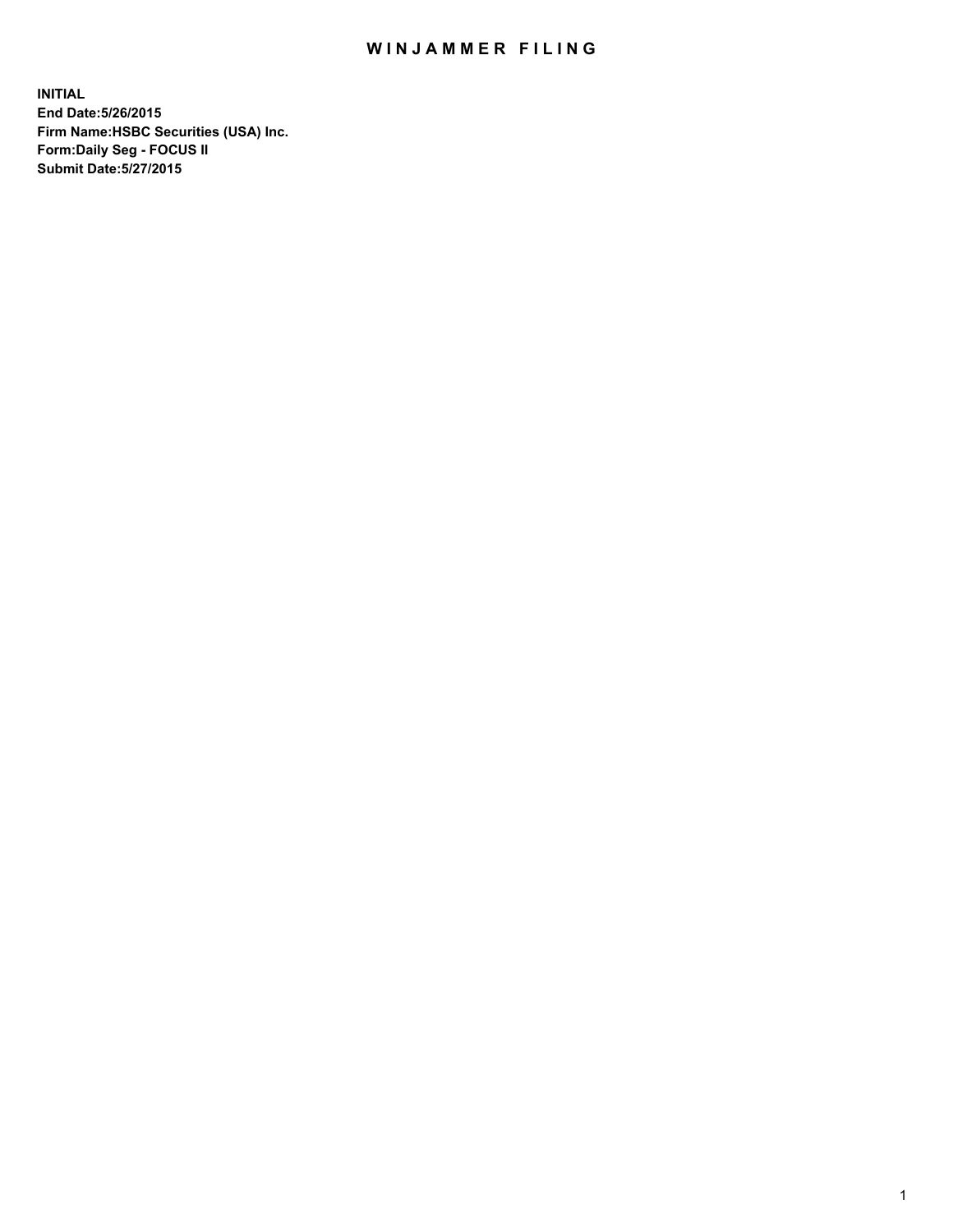## WIN JAMMER FILING

**INITIAL End Date:5/26/2015 Firm Name:HSBC Securities (USA) Inc. Form:Daily Seg - FOCUS II Submit Date:5/27/2015**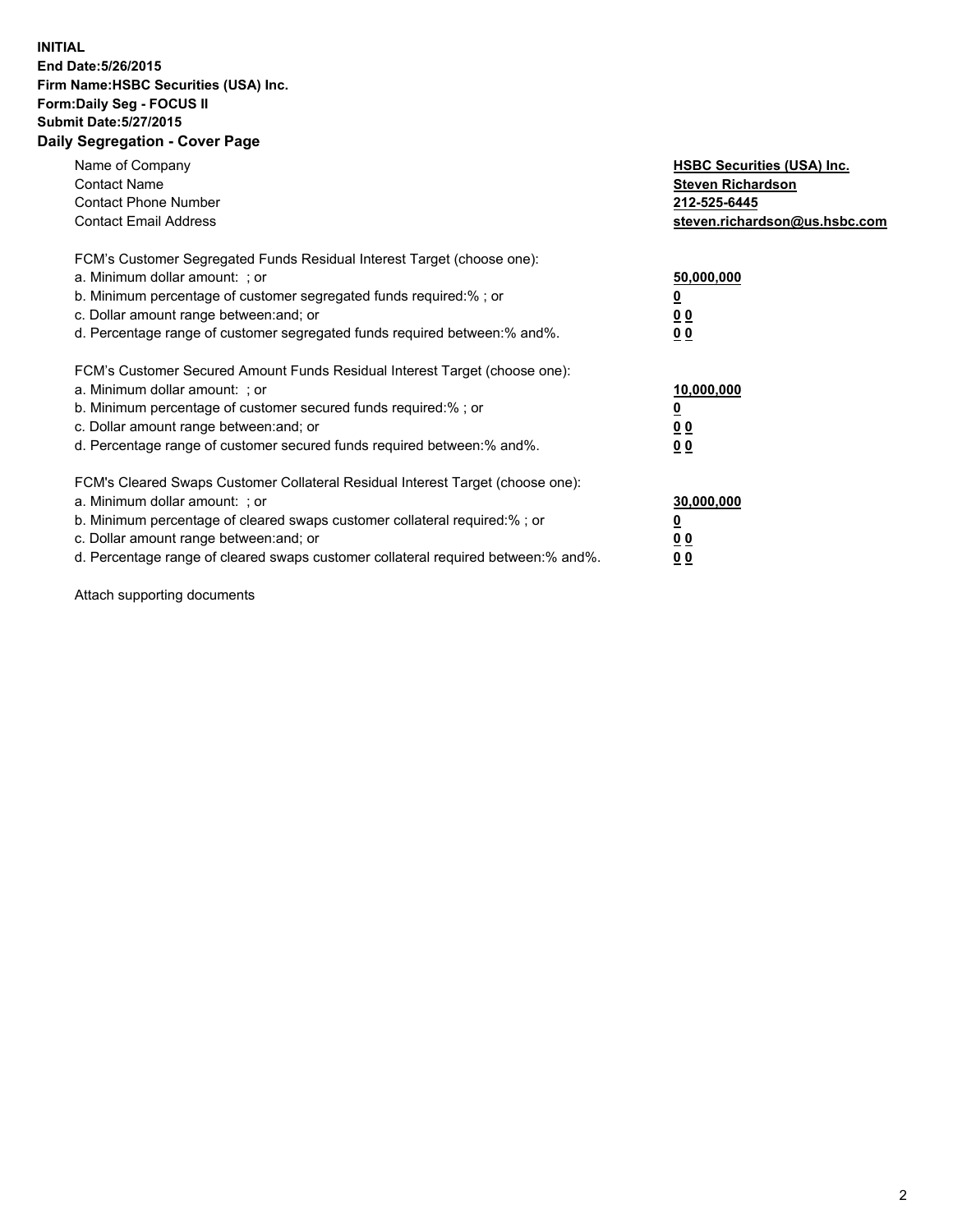## **INITIAL End Date:5/26/2015 Firm Name:HSBC Securities (USA) Inc. Form:Daily Seg - FOCUS II Submit Date:5/27/2015 Daily Segregation - Cover Page**

| Name of Company<br><b>Contact Name</b><br><b>Contact Phone Number</b><br><b>Contact Email Address</b>                                                                                                                                                                                                                          | <b>HSBC Securities (USA) Inc.</b><br><b>Steven Richardson</b><br>212-525-6445<br>steven.richardson@us.hsbc.com |
|--------------------------------------------------------------------------------------------------------------------------------------------------------------------------------------------------------------------------------------------------------------------------------------------------------------------------------|----------------------------------------------------------------------------------------------------------------|
| FCM's Customer Segregated Funds Residual Interest Target (choose one):<br>a. Minimum dollar amount: ; or<br>b. Minimum percentage of customer segregated funds required:%; or<br>c. Dollar amount range between: and; or<br>d. Percentage range of customer segregated funds required between: % and %.                        | 50,000,000<br>0 <sub>0</sub><br>0 <sub>0</sub>                                                                 |
| FCM's Customer Secured Amount Funds Residual Interest Target (choose one):<br>a. Minimum dollar amount: ; or<br>b. Minimum percentage of customer secured funds required:%; or<br>c. Dollar amount range between: and; or<br>d. Percentage range of customer secured funds required between:% and%.                            | 10,000,000<br><u>0</u><br>0 <sub>0</sub><br>0 <sub>0</sub>                                                     |
| FCM's Cleared Swaps Customer Collateral Residual Interest Target (choose one):<br>a. Minimum dollar amount: ; or<br>b. Minimum percentage of cleared swaps customer collateral required:% ; or<br>c. Dollar amount range between: and; or<br>d. Percentage range of cleared swaps customer collateral required between:% and%. | 30,000,000<br>00<br><u>00</u>                                                                                  |

Attach supporting documents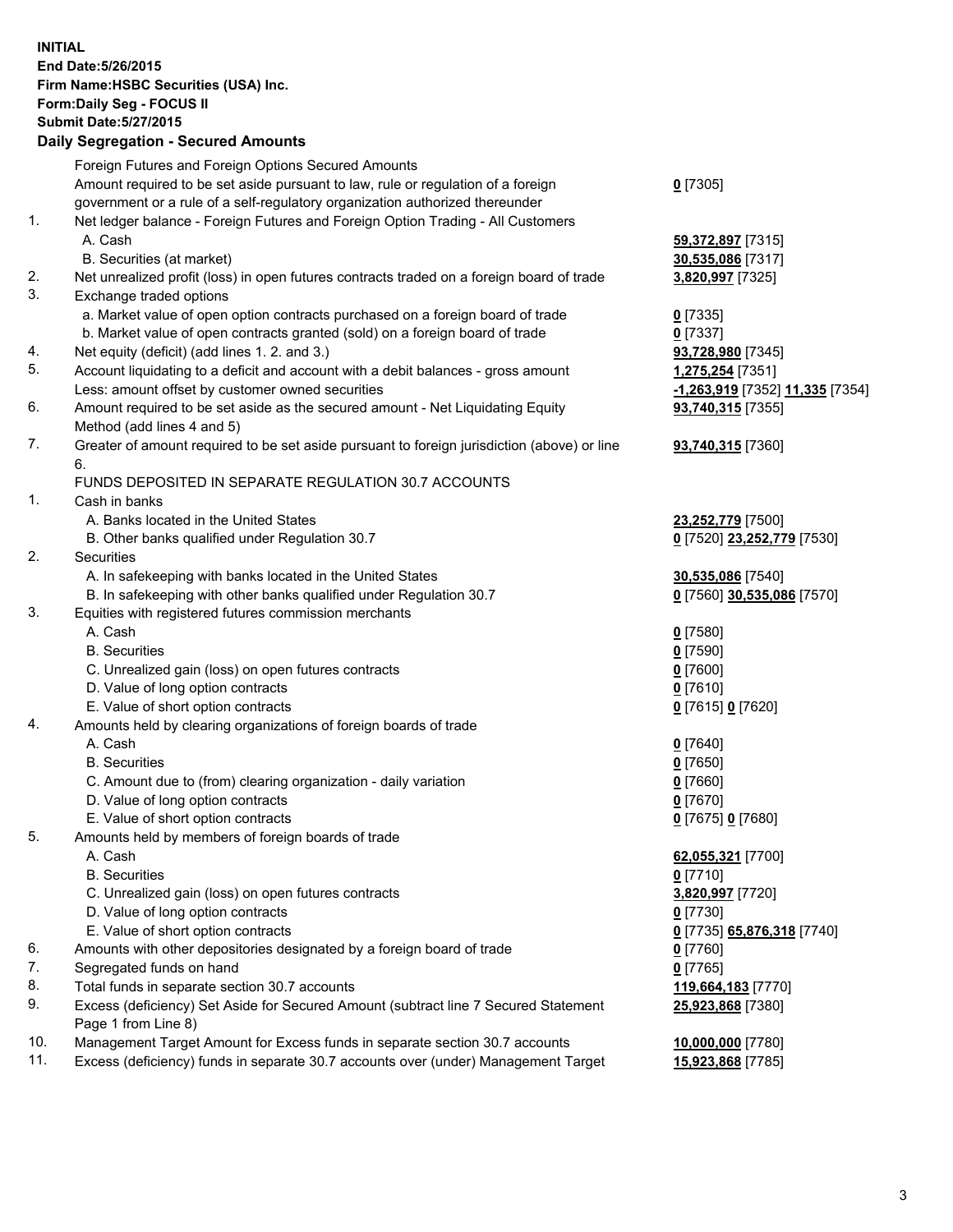**INITIAL End Date:5/26/2015 Firm Name:HSBC Securities (USA) Inc. Form:Daily Seg - FOCUS II Submit Date:5/27/2015 Daily Segregation - Secured Amounts** Foreign Futures and Foreign Options Secured Amounts Amount required to be set aside pursuant to law, rule or regulation of a foreign government or a rule of a self-regulatory organization authorized thereunder 1. Net ledger balance - Foreign Futures and Foreign Option Trading - All Customers A. Cash **59,372,897** [7315] B. Securities (at market) **30,535,086** [7317] 2. Net unrealized profit (loss) in open futures contracts traded on a foreign board of trade **3,820,997** [7325] 3. Exchange traded options a. Market value of open option contracts purchased on a foreign board of trade **0** [7335] b. Market value of open contracts granted (sold) on a foreign board of trade **0** [7337] 4. Net equity (deficit) (add lines 1. 2. and 3.) **93,728,980** [7345] 5. Account liquidating to a deficit and account with a debit balances - gross amount **1,275,254** [7351] Less: amount offset by customer owned securities **-1,263,919** [7352] **11,335** [7354] 6. Amount required to be set aside as the secured amount - Net Liquidating Equity Method (add lines 4 and 5)

- 7. Greater of amount required to be set aside pursuant to foreign jurisdiction (above) or line 6. FUNDS DEPOSITED IN SEPARATE REGULATION 30.7 ACCOUNTS
- 1. Cash in banks
	- A. Banks located in the United States **23,252,779** [7500]
	- B. Other banks qualified under Regulation 30.7 **0** [7520] **23,252,779** [7530]
- 2. Securities
	- A. In safekeeping with banks located in the United States **30,535,086** [7540]
	- B. In safekeeping with other banks qualified under Regulation 30.7 **0** [7560] **30,535,086** [7570]
- 3. Equities with registered futures commission merchants
	- A. Cash **0** [7580]
	- B. Securities **0** [7590]
	- C. Unrealized gain (loss) on open futures contracts **0** [7600]
	- D. Value of long option contracts **0** [7610]
	- E. Value of short option contracts **0** [7615] **0** [7620]
- 4. Amounts held by clearing organizations of foreign boards of trade
	- A. Cash **0** [7640]
	- B. Securities **0** [7650]
	- C. Amount due to (from) clearing organization daily variation **0** [7660]
	- D. Value of long option contracts **0** [7670]
	- E. Value of short option contracts **0** [7675] **0** [7680]
- 5. Amounts held by members of foreign boards of trade
	- A. Cash **62,055,321** [7700]
	- B. Securities **0** [7710]
	- C. Unrealized gain (loss) on open futures contracts **3,820,997** [7720]
	- D. Value of long option contracts **0** [7730]
	- E. Value of short option contracts **0** [7735] **65,876,318** [7740]
- 6. Amounts with other depositories designated by a foreign board of trade **0** [7760]
- 7. Segregated funds on hand **0** [7765]
- 8. Total funds in separate section 30.7 accounts **119,664,183** [7770]
- 9. Excess (deficiency) Set Aside for Secured Amount (subtract line 7 Secured Statement Page 1 from Line 8)
- 10. Management Target Amount for Excess funds in separate section 30.7 accounts **10,000,000** [7780]
- 11. Excess (deficiency) funds in separate 30.7 accounts over (under) Management Target **15,923,868** [7785]

**0** [7305]

**93,740,315** [7355]

**93,740,315** [7360]

**25,923,868** [7380]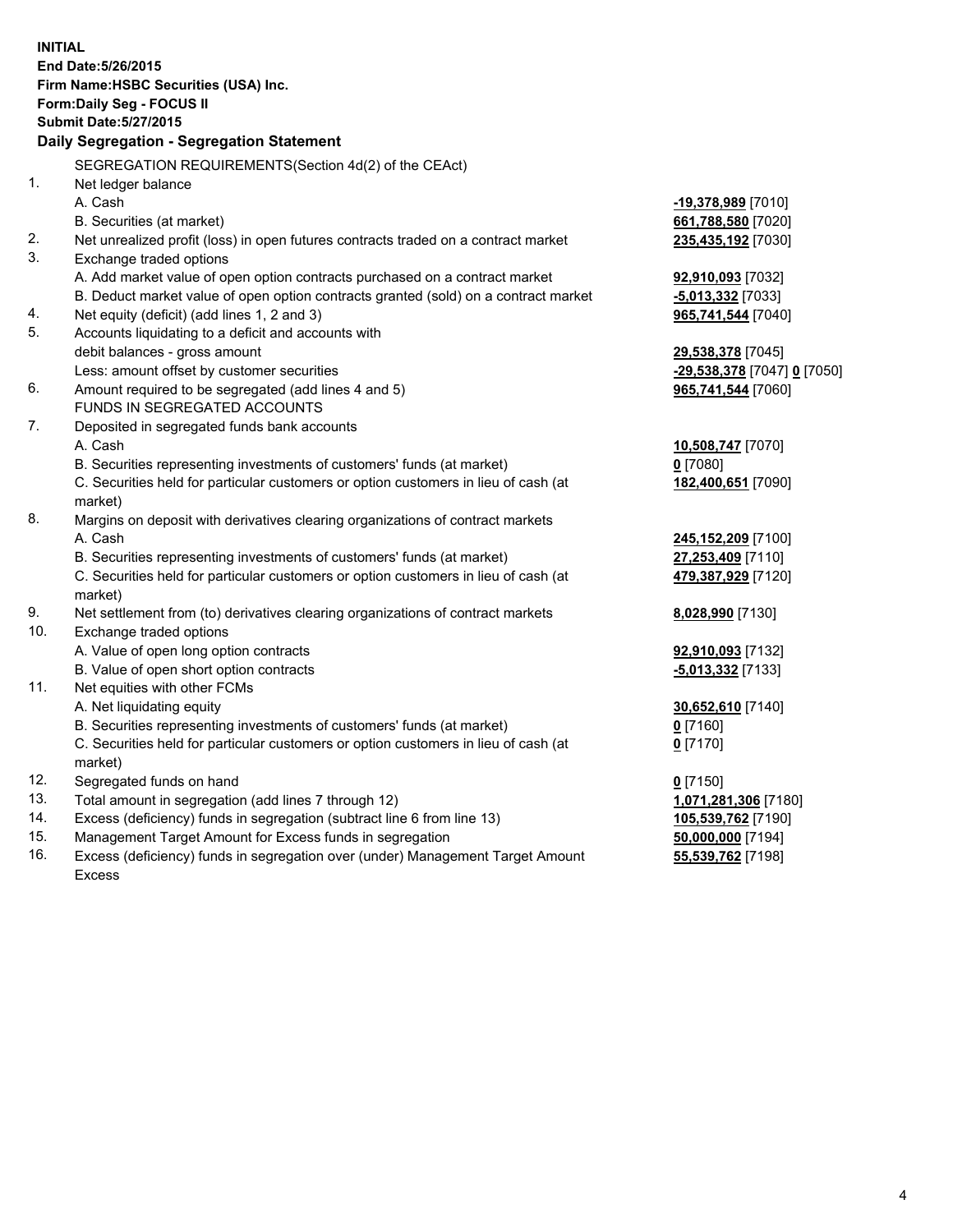| <b>INITIAL</b>                            | End Date: 5/26/2015<br>Firm Name: HSBC Securities (USA) Inc.<br>Form: Daily Seg - FOCUS II     |                             |  |  |
|-------------------------------------------|------------------------------------------------------------------------------------------------|-----------------------------|--|--|
|                                           | <b>Submit Date: 5/27/2015</b>                                                                  |                             |  |  |
| Daily Segregation - Segregation Statement |                                                                                                |                             |  |  |
|                                           | SEGREGATION REQUIREMENTS(Section 4d(2) of the CEAct)                                           |                             |  |  |
| 1.                                        | Net ledger balance                                                                             |                             |  |  |
|                                           | A. Cash                                                                                        | -19,378,989 [7010]          |  |  |
|                                           | B. Securities (at market)                                                                      | 661,788,580 [7020]          |  |  |
| 2.                                        | Net unrealized profit (loss) in open futures contracts traded on a contract market             | 235,435,192 [7030]          |  |  |
| 3.                                        | Exchange traded options                                                                        |                             |  |  |
|                                           | A. Add market value of open option contracts purchased on a contract market                    | 92,910,093 [7032]           |  |  |
|                                           | B. Deduct market value of open option contracts granted (sold) on a contract market            | $-5,013,332$ [7033]         |  |  |
| 4.                                        | Net equity (deficit) (add lines 1, 2 and 3)                                                    | 965,741,544 [7040]          |  |  |
| 5.                                        | Accounts liquidating to a deficit and accounts with                                            |                             |  |  |
|                                           | debit balances - gross amount                                                                  | 29,538,378 [7045]           |  |  |
|                                           | Less: amount offset by customer securities                                                     | -29,538,378 [7047] 0 [7050] |  |  |
| 6.                                        | Amount required to be segregated (add lines 4 and 5)                                           | 965,741,544 [7060]          |  |  |
|                                           | FUNDS IN SEGREGATED ACCOUNTS                                                                   |                             |  |  |
| 7.                                        | Deposited in segregated funds bank accounts                                                    |                             |  |  |
|                                           | A. Cash                                                                                        | 10,508,747 [7070]           |  |  |
|                                           | B. Securities representing investments of customers' funds (at market)                         | $0$ [7080]                  |  |  |
|                                           | C. Securities held for particular customers or option customers in lieu of cash (at<br>market) | 182,400,651 [7090]          |  |  |
| 8.                                        | Margins on deposit with derivatives clearing organizations of contract markets                 |                             |  |  |
|                                           | A. Cash                                                                                        | 245,152,209 [7100]          |  |  |
|                                           | B. Securities representing investments of customers' funds (at market)                         | 27,253,409 [7110]           |  |  |
|                                           | C. Securities held for particular customers or option customers in lieu of cash (at<br>market) | 479,387,929 [7120]          |  |  |
| 9.                                        | Net settlement from (to) derivatives clearing organizations of contract markets                | 8,028,990 [7130]            |  |  |
| 10.                                       | Exchange traded options                                                                        |                             |  |  |
|                                           | A. Value of open long option contracts                                                         | 92,910,093 [7132]           |  |  |
|                                           | B. Value of open short option contracts                                                        | $-5,013,332$ [7133]         |  |  |
| 11.                                       | Net equities with other FCMs                                                                   |                             |  |  |
|                                           | A. Net liquidating equity                                                                      | 30,652,610 [7140]           |  |  |
|                                           | B. Securities representing investments of customers' funds (at market)                         | 0 <sup>[7160]</sup>         |  |  |
|                                           | C. Securities held for particular customers or option customers in lieu of cash (at<br>market) | $0$ [7170]                  |  |  |
| 12.                                       | Segregated funds on hand                                                                       | $0$ [7150]                  |  |  |
| 13.                                       | Total amount in segregation (add lines 7 through 12)                                           | 1,071,281,306 [7180]        |  |  |
| 14.                                       | Excess (deficiency) funds in segregation (subtract line 6 from line 13)                        | 105,539,762 [7190]          |  |  |
| 15.                                       | Management Target Amount for Excess funds in segregation                                       | 50,000,000 [7194]           |  |  |
| 16.                                       | Excess (deficiency) funds in segregation over (under) Management Target Amount                 | 55,539,762 [7198]           |  |  |

16. Excess (deficiency) funds in segregation over (under) Management Target Amount Excess